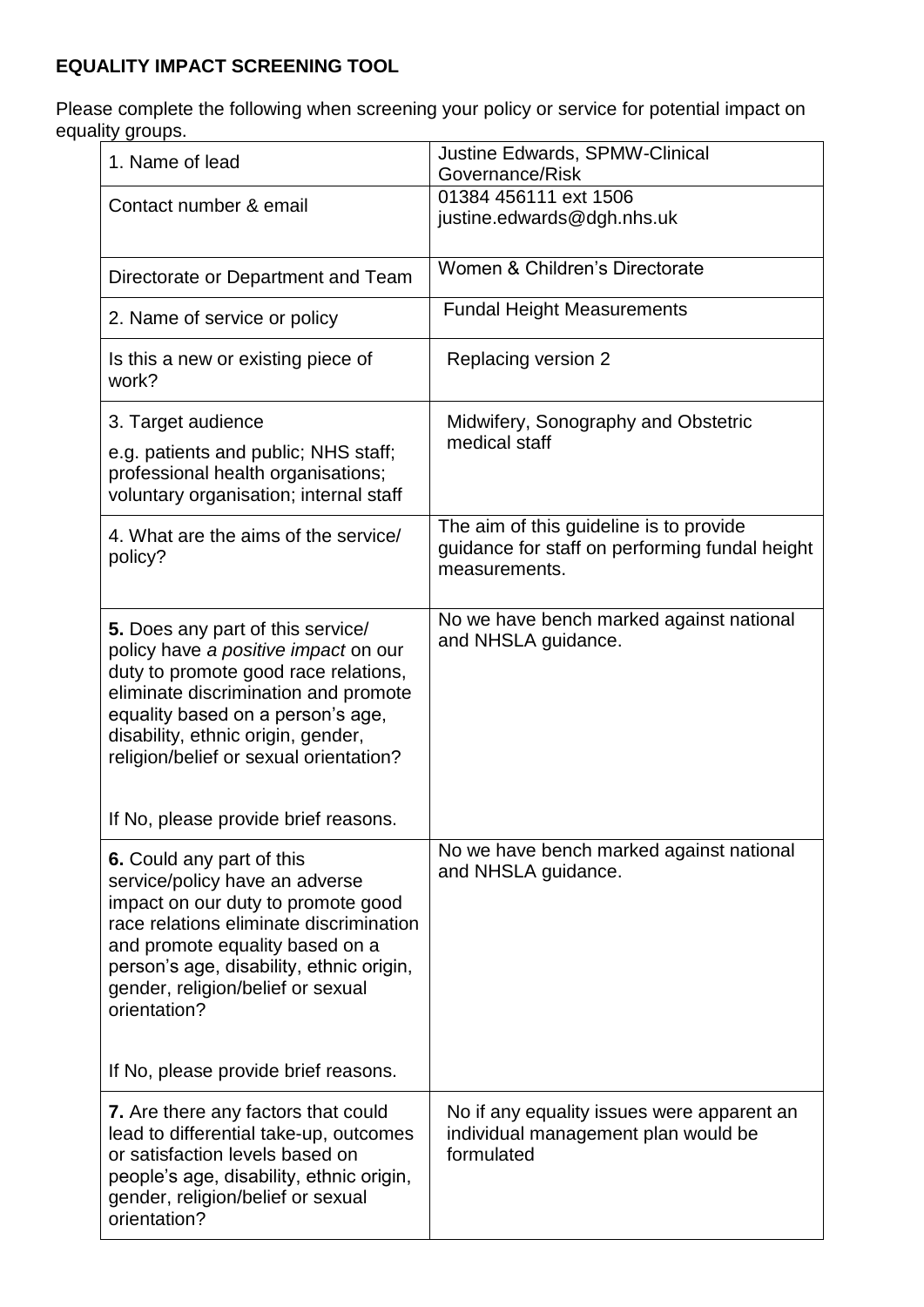## **EQUALITY IMPACT SCREENING TOOL**

Please complete the following when screening your policy or service for potential impact on equality groups.

| 1. Name of lead                                                                                                                                                                                                                                                                                                                                                  | <b>Justine Edwards, SPMW-Clinical</b><br>Governance/Risk                                                   |
|------------------------------------------------------------------------------------------------------------------------------------------------------------------------------------------------------------------------------------------------------------------------------------------------------------------------------------------------------------------|------------------------------------------------------------------------------------------------------------|
| Contact number & email                                                                                                                                                                                                                                                                                                                                           | 01384 456111 ext 1506<br>justine.edwards@dgh.nhs.uk                                                        |
| Directorate or Department and Team                                                                                                                                                                                                                                                                                                                               | Women & Children's Directorate                                                                             |
| 2. Name of service or policy                                                                                                                                                                                                                                                                                                                                     | <b>Fundal Height Measurements</b>                                                                          |
| Is this a new or existing piece of<br>work?                                                                                                                                                                                                                                                                                                                      | Replacing version 2                                                                                        |
| 3. Target audience<br>e.g. patients and public; NHS staff;<br>professional health organisations;<br>voluntary organisation; internal staff                                                                                                                                                                                                                       | Midwifery, Sonography and Obstetric<br>medical staff                                                       |
| 4. What are the aims of the service/<br>policy?                                                                                                                                                                                                                                                                                                                  | The aim of this guideline is to provide<br>guidance for staff on performing fundal height<br>measurements. |
| 5. Does any part of this service/<br>policy have a positive impact on our<br>duty to promote good race relations,<br>eliminate discrimination and promote<br>equality based on a person's age,<br>disability, ethnic origin, gender,<br>religion/belief or sexual orientation?                                                                                   | No we have bench marked against national<br>and NHSLA guidance.                                            |
| If No, please provide brief reasons.<br>6. Could any part of this<br>service/policy have an adverse<br>impact on our duty to promote good<br>race relations eliminate discrimination<br>and promote equality based on a<br>person's age, disability, ethnic origin,<br>gender, religion/belief or sexual<br>orientation?<br>If No, please provide brief reasons. | No we have bench marked against national<br>and NHSLA guidance.                                            |
| 7. Are there any factors that could<br>lead to differential take-up, outcomes<br>or satisfaction levels based on<br>people's age, disability, ethnic origin,<br>gender, religion/belief or sexual<br>orientation?                                                                                                                                                | No if any equality issues were apparent an<br>individual management plan would be<br>formulated            |